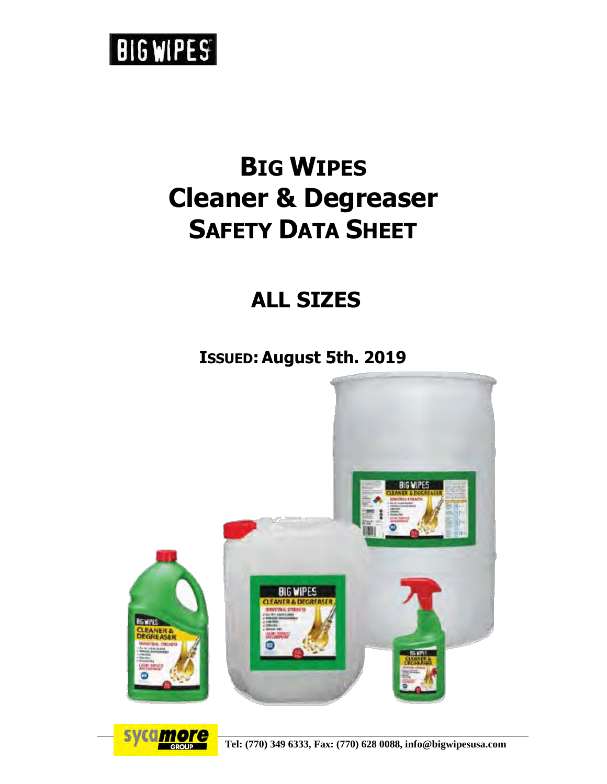# **BIGWIPES**

# **BIG WIPES Cleaner & Degreaser SAFETY DATA SHEET**

## **ALL SIZES**

**ISSUED:August 5th. 2019**





**Tel: (770) 349 6333, Fax: (770) 628 0088, info@bigwipesusa.com**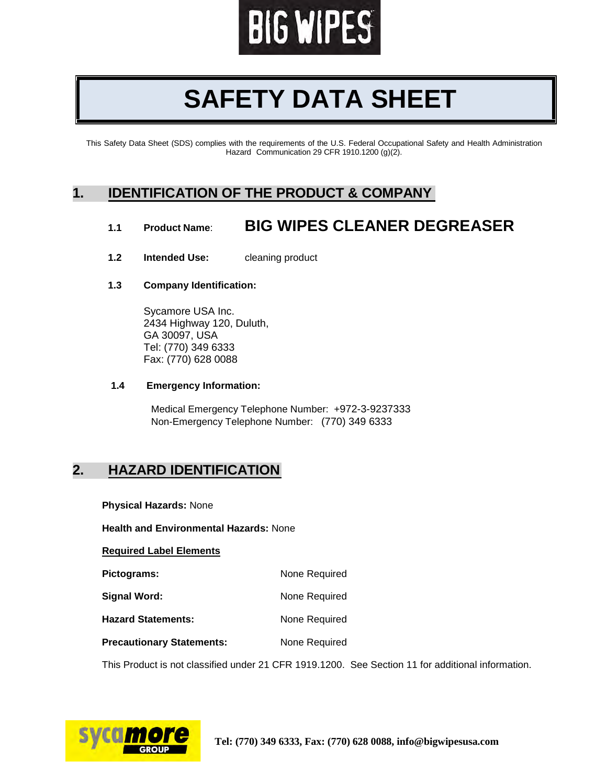

# **SAFETY DATA SHEET**

This Safety Data Sheet (SDS) complies with the requirements of the U.S. Federal Occupational Safety and Health Administration Hazard Communication 29 CFR 1910.1200 (g)(2).

#### **1. IDENTIFICATION OF THE PRODUCT & COMPANY**

#### **1.1 Product Name**: **BIG WIPES CLEANER DEGREASER**

- **1.2 Intended Use:** cleaning product
- **1.3 Company Identification:**

Sycamore USA Inc. 2434 Highway 120, Duluth, GA 30097, USA Tel: (770) 349 6333 Fax: (770) 628 0088

#### **1.4 Emergency Information:**

Medical Emergency Telephone Number: +972-3-9237333 Non-Emergency Telephone Number: (770) 349 6333

#### **2. HAZARD IDENTIFICATION**

**Physical Hazards:** None

**Health and Environmental Hazards:** None

**Required Label Elements**

| Pictograms:         | None Required |  |  |
|---------------------|---------------|--|--|
| <b>Signal Word:</b> | None Required |  |  |

Hazard Statements: None Required

**Precautionary Statements:** None Required

This Product is not classified under 21 CFR 1919.1200. See Section 11 for additional information.

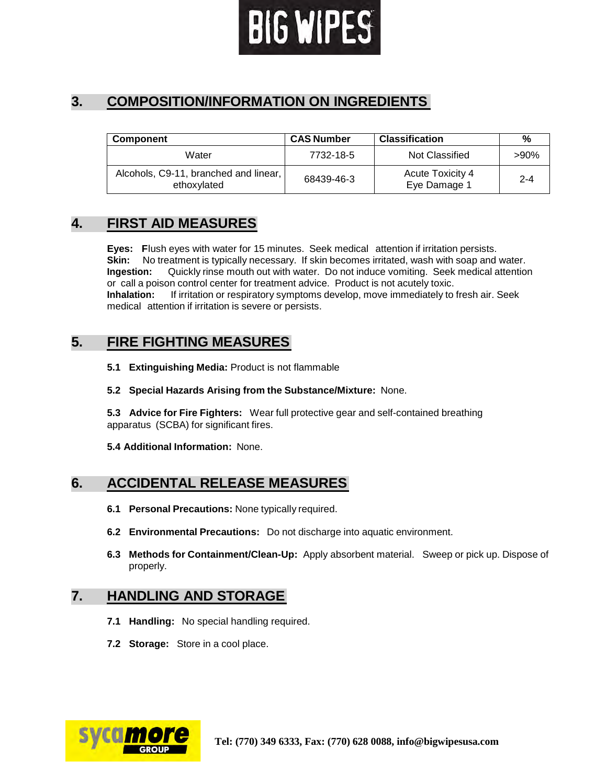

### **3. COMPOSITION/INFORMATION ON INGREDIENTS**

| <b>Component</b>                                     | <b>CAS Number</b> | <b>Classification</b>                   | %       |
|------------------------------------------------------|-------------------|-----------------------------------------|---------|
| Water                                                | 7732-18-5         | Not Classified                          | $>90\%$ |
| Alcohols, C9-11, branched and linear,<br>ethoxylated | 68439-46-3        | <b>Acute Toxicity 4</b><br>Eye Damage 1 | $2 - 4$ |

#### **4. FIRST AID MEASURES**

**Eyes: F**lush eyes with water for 15 minutes. Seek medical attention if irritation persists. **Skin:** No treatment is typically necessary. If skin becomes irritated, wash with soap and water. **Ingestion:** Quickly rinse mouth out with water. Do not induce vomiting. Seek medical attention or call a poison control center for treatment advice. Product is not acutely toxic. **Inhalation:** If irritation or respiratory symptoms develop, move immediately to fresh air. Seek medical attention if irritation is severe or persists.

#### **5. FIRE FIGHTING MEASURES**

**5.1 Extinguishing Media:** Product is not flammable

#### **5.2 Special Hazards Arising from the Substance/Mixture:** None.

**5.3 Advice for Fire Fighters:** Wear full protective gear and self-contained breathing apparatus (SCBA) for significant fires.

**5.4 Additional Information:** None.

#### **6. ACCIDENTAL RELEASE MEASURES**

- **6.1 Personal Precautions:** None typically required.
- **6.2 Environmental Precautions:** Do not discharge into aquatic environment.
- **6.3 Methods for Containment/Clean-Up:** Apply absorbent material. Sweep or pick up. Dispose of properly.

#### **7. HANDLING AND STORAGE**

- **7.1 Handling:** No special handling required.
- **7.2 Storage:** Store in a cool place.

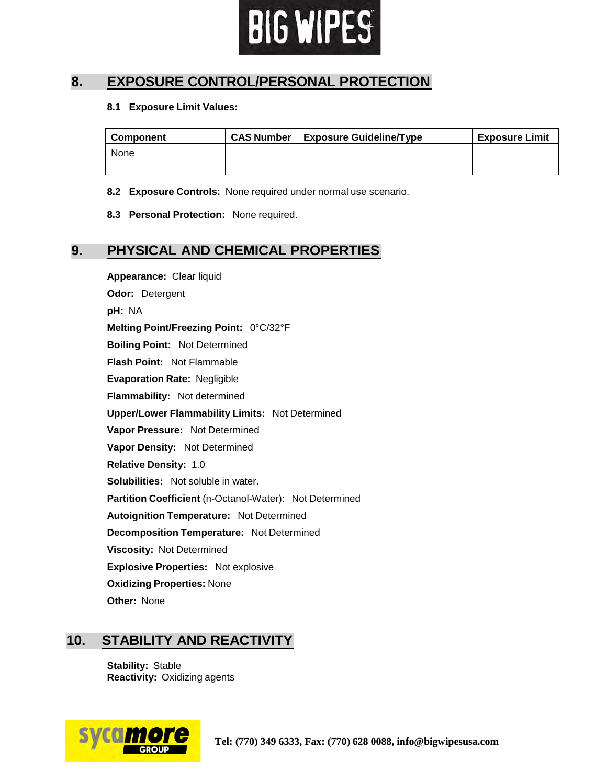

#### **8. EXPOSURE CONTROL/PERSONAL PROTECTION**

#### **8.1 Exposure Limit Values:**

| <b>Component</b> | <b>CAS Number</b> | <b>Exposure Guideline/Type</b> | <b>Exposure Limit</b> |
|------------------|-------------------|--------------------------------|-----------------------|
| None             |                   |                                |                       |
|                  |                   |                                |                       |

**8.2 Exposure Controls:** None required under normal use scenario.

**8.3 Personal Protection:** None required.

#### **9. PHYSICAL AND CHEMICAL PROPERTIES**

**Appearance:** Clear liquid **Odor:** Detergent **pH:** NA **Melting Point/Freezing Point:** 0°C/32°F **Boiling Point:** Not Determined **Flash Point:** Not Flammable **Evaporation Rate:** Negligible **Flammability:** Not determined **Upper/Lower Flammability Limits:** Not Determined **Vapor Pressure:** Not Determined **Vapor Density:** Not Determined **Relative Density:** 1.0 **Solubilities:** Not soluble in water. **Partition Coefficient** (n-Octanol-Water): Not Determined **Autoignition Temperature:** Not Determined **Decomposition Temperature:** Not Determined **Viscosity:** Not Determined **Explosive Properties:** Not explosive **Oxidizing Properties:** None **Other:** None

#### **10. STABILITY AND REACTIVITY**

**Stability:** Stable **Reactivity:** Oxidizing agents

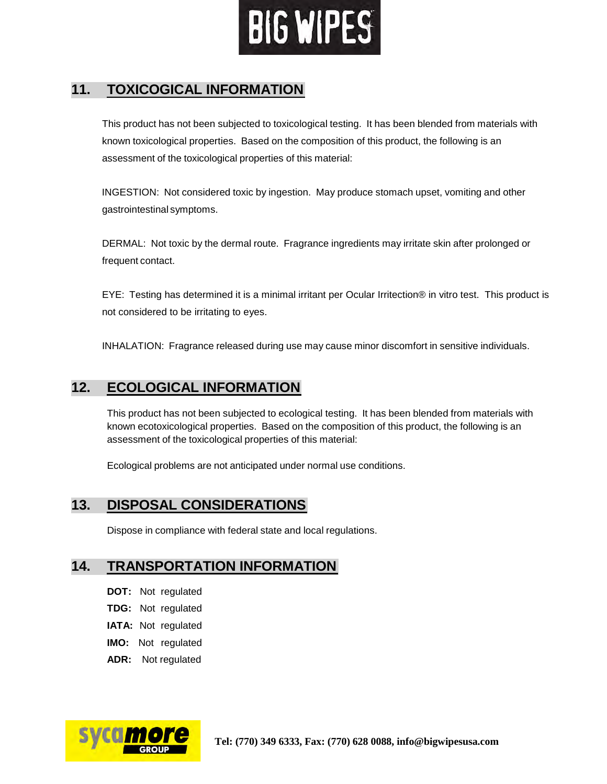

### **11. TOXICOGICAL INFORMATION**

This product has not been subjected to toxicological testing. It has been blended from materials with known toxicological properties. Based on the composition of this product, the following is an assessment of the toxicological properties of this material:

INGESTION: Not considered toxic by ingestion. May produce stomach upset, vomiting and other gastrointestinal symptoms.

DERMAL: Not toxic by the dermal route. Fragrance ingredients may irritate skin after prolonged or frequent contact.

EYE: Testing has determined it is a minimal irritant per Ocular Irritection® in vitro test. This product is not considered to be irritating to eyes.

INHALATION: Fragrance released during use may cause minor discomfort in sensitive individuals.

### **12. ECOLOGICAL INFORMATION**

This product has not been subjected to ecological testing. It has been blended from materials with known ecotoxicological properties. Based on the composition of this product, the following is an assessment of the toxicological properties of this material:

Ecological problems are not anticipated under normal use conditions.

#### **13. DISPOSAL CONSIDERATIONS**

Dispose in compliance with federal state and local regulations.

#### **14. TRANSPORTATION INFORMATION**

- **DOT:** Not regulated
- **TDG:** Not regulated
- **IATA:** Not regulated
- **IMO:** Not regulated
- **ADR:** Not regulated